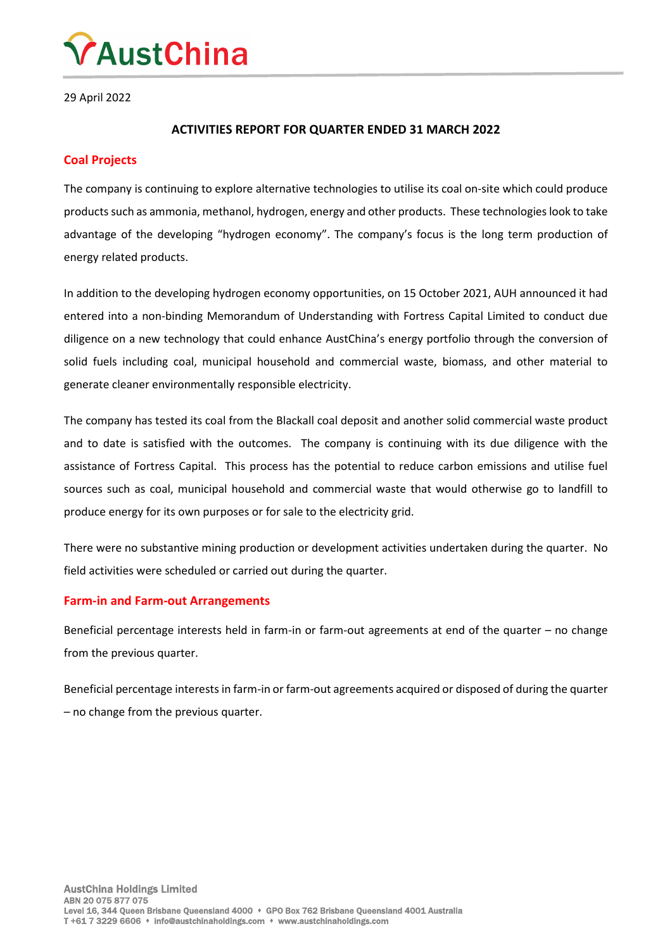

29 April 2022

#### **ACTIVITIES REPORT FOR QUARTER ENDED 31 MARCH 2022**

#### **Coal Projects**

The company is continuing to explore alternative technologies to utilise its coal on-site which could produce products such as ammonia, methanol, hydrogen, energy and other products. These technologies look to take advantage of the developing "hydrogen economy". The company's focus is the long term production of energy related products.

In addition to the developing hydrogen economy opportunities, on 15 October 2021, AUH announced it had entered into a non-binding Memorandum of Understanding with Fortress Capital Limited to conduct due diligence on a new technology that could enhance AustChina's energy portfolio through the conversion of solid fuels including coal, municipal household and commercial waste, biomass, and other material to generate cleaner environmentally responsible electricity.

The company has tested its coal from the Blackall coal deposit and another solid commercial waste product and to date is satisfied with the outcomes. The company is continuing with its due diligence with the assistance of Fortress Capital. This process has the potential to reduce carbon emissions and utilise fuel sources such as coal, municipal household and commercial waste that would otherwise go to landfill to produce energy for its own purposes or for sale to the electricity grid.

There were no substantive mining production or development activities undertaken during the quarter. No field activities were scheduled or carried out during the quarter.

#### **Farm-in and Farm-out Arrangements**

Beneficial percentage interests held in farm-in or farm-out agreements at end of the quarter – no change from the previous quarter.

Beneficial percentage interests in farm-in or farm-out agreements acquired or disposed of during the quarter – no change from the previous quarter.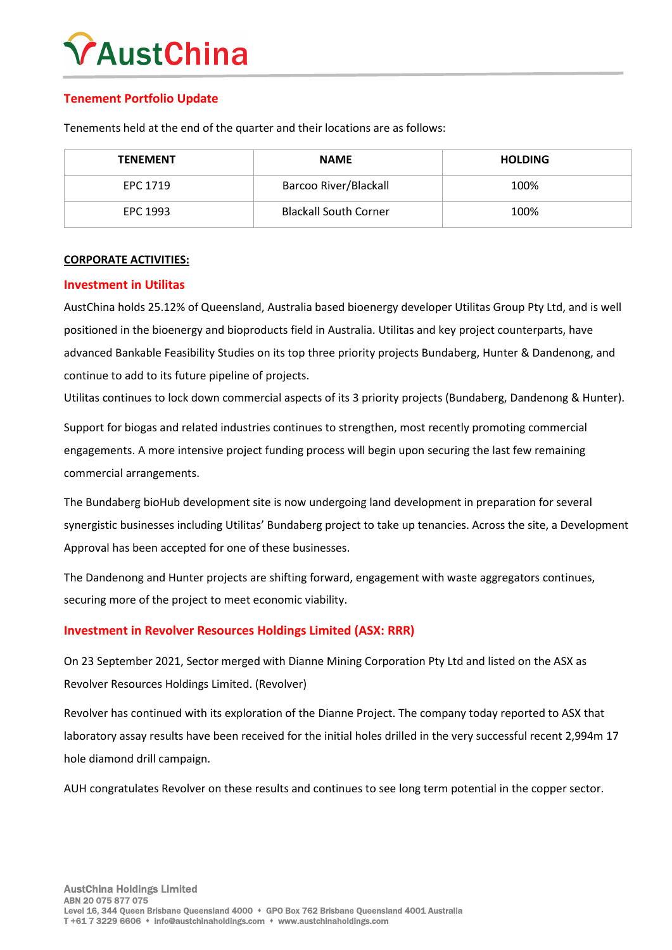# **AustChina**

### **Tenement Portfolio Update**

Tenements held at the end of the quarter and their locations are as follows:

| <b>TENEMENT</b> | <b>NAME</b>                  | <b>HOLDING</b> |
|-----------------|------------------------------|----------------|
| EPC 1719        | Barcoo River/Blackall        | 100%           |
| EPC 1993        | <b>Blackall South Corner</b> | 100%           |

#### **CORPORATE ACTIVITIES:**

#### **Investment in Utilitas**

AustChina holds 25.12% of Queensland, Australia based bioenergy developer Utilitas Group Pty Ltd, and is well positioned in the bioenergy and bioproducts field in Australia. Utilitas and key project counterparts, have advanced Bankable Feasibility Studies on its top three priority projects Bundaberg, Hunter & Dandenong, and continue to add to its future pipeline of projects.

Utilitas continues to lock down commercial aspects of its 3 priority projects (Bundaberg, Dandenong & Hunter).

Support for biogas and related industries continues to strengthen, most recently promoting commercial engagements. A more intensive project funding process will begin upon securing the last few remaining commercial arrangements.

The Bundaberg bioHub development site is now undergoing land development in preparation for several synergistic businesses including Utilitas' Bundaberg project to take up tenancies. Across the site, a Development Approval has been accepted for one of these businesses.

The Dandenong and Hunter projects are shifting forward, engagement with waste aggregators continues, securing more of the project to meet economic viability.

#### **Investment in Revolver Resources Holdings Limited (ASX: RRR)**

On 23 September 2021, Sector merged with Dianne Mining Corporation Pty Ltd and listed on the ASX as Revolver Resources Holdings Limited. (Revolver)

Revolver has continued with its exploration of the Dianne Project. The company today reported to ASX that laboratory assay results have been received for the initial holes drilled in the very successful recent 2,994m 17 hole diamond drill campaign.

AUH congratulates Revolver on these results and continues to see long term potential in the copper sector.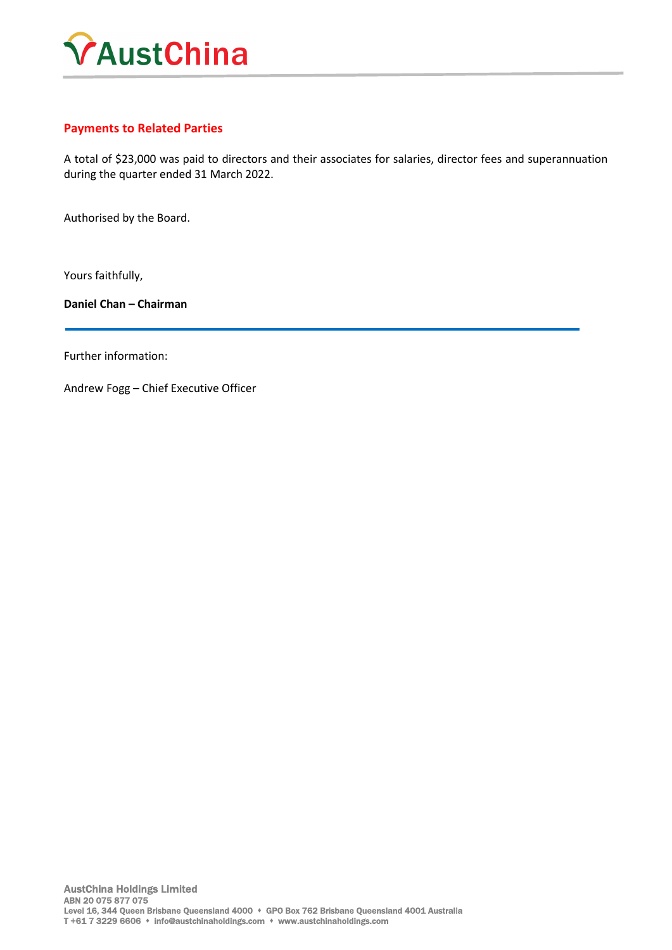

#### **Payments to Related Parties**

A total of \$23,000 was paid to directors and their associates for salaries, director fees and superannuation during the quarter ended 31 March 2022.

Authorised by the Board.

Yours faithfully,

**Daniel Chan – Chairman** 

Further information:

Andrew Fogg – Chief Executive Officer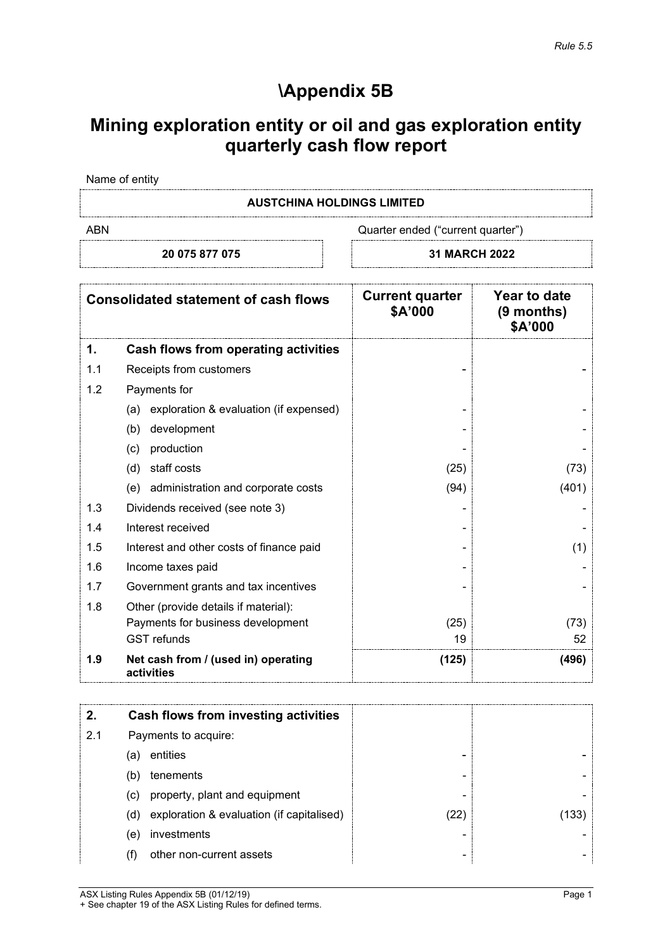## **\Appendix 5B**

## **Mining exploration entity or oil and gas exploration entity quarterly cash flow report**

Name of entity

#### **AUSTCHINA HOLDINGS LIMITED**

ABN ABN Cuarter ended ("current quarter")

**20 075 877 075 31 MARCH 2022**

|     | <b>Consolidated statement of cash flows</b>       | <b>Current quarter</b><br>\$A'000 | Year to date<br>$(9$ months)<br>\$A'000 |
|-----|---------------------------------------------------|-----------------------------------|-----------------------------------------|
| 1.  | Cash flows from operating activities              |                                   |                                         |
| 1.1 | Receipts from customers                           |                                   |                                         |
| 1.2 | Payments for                                      |                                   |                                         |
|     | exploration & evaluation (if expensed)<br>(a)     |                                   |                                         |
|     | development<br>(b)                                |                                   |                                         |
|     | production<br>(c)                                 |                                   |                                         |
|     | staff costs<br>(d)                                | (25)                              | (73)                                    |
|     | administration and corporate costs<br>(e)         | (94)                              | (401)                                   |
| 1.3 | Dividends received (see note 3)                   |                                   |                                         |
| 1.4 | Interest received                                 |                                   |                                         |
| 1.5 | Interest and other costs of finance paid          |                                   | (1)                                     |
| 1.6 | Income taxes paid                                 |                                   |                                         |
| 1.7 | Government grants and tax incentives              |                                   |                                         |
| 1.8 | Other (provide details if material):              |                                   |                                         |
|     | Payments for business development                 | (25)                              | (73)                                    |
|     | <b>GST</b> refunds                                | 19                                | 52                                      |
| 1.9 | Net cash from / (used in) operating<br>activities | (125)                             | (496)                                   |

|     |     | Cash flows from investing activities      |     |    |
|-----|-----|-------------------------------------------|-----|----|
| 2.1 |     | Payments to acquire:                      |     |    |
|     | (a  | entities                                  | -   |    |
|     | (b) | tenements                                 | -   |    |
|     | (c) | property, plant and equipment             | -   |    |
|     | (d) | exploration & evaluation (if capitalised) | 22) | 33 |
|     | e)  | investments                               | -   |    |
|     |     | other non-current assets                  | -   |    |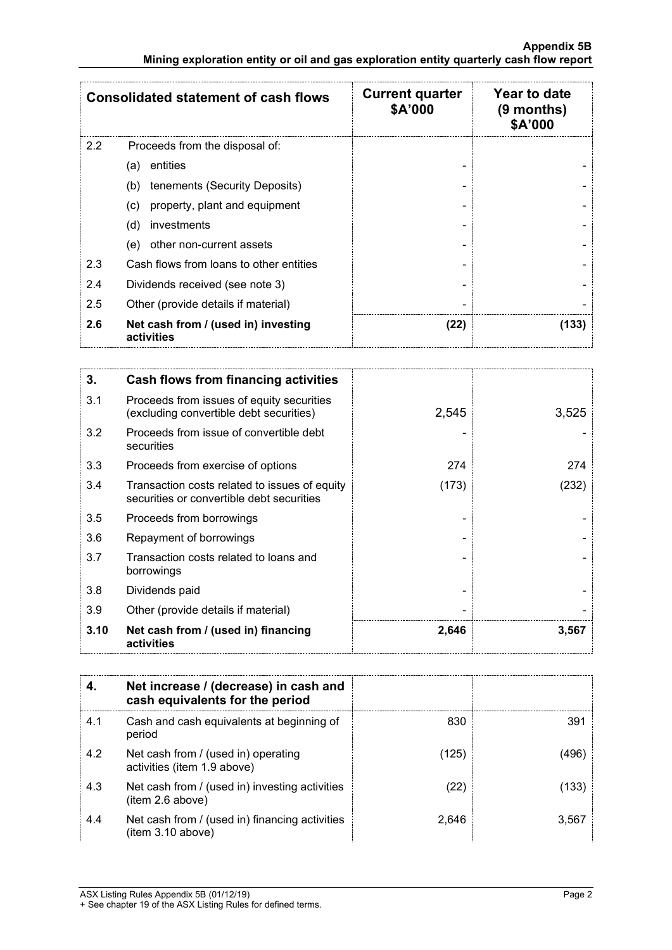|     | <b>Consolidated statement of cash flows</b>       | <b>Current quarter</b><br>\$A'000 | Year to date<br>$(9$ months)<br><b>\$A'000</b> |
|-----|---------------------------------------------------|-----------------------------------|------------------------------------------------|
| 2.2 | Proceeds from the disposal of:                    |                                   |                                                |
|     | entities<br>(a)                                   |                                   |                                                |
|     | tenements (Security Deposits)<br>(b)              |                                   |                                                |
|     | property, plant and equipment<br>(c)              |                                   |                                                |
|     | (d)<br>investments                                |                                   |                                                |
|     | other non-current assets<br>(e)                   |                                   |                                                |
| 2.3 | Cash flows from loans to other entities           |                                   |                                                |
| 2.4 | Dividends received (see note 3)                   |                                   |                                                |
| 2.5 | Other (provide details if material)               |                                   |                                                |
| 2.6 | Net cash from / (used in) investing<br>activities | (22)                              | (133)                                          |

| 3.   | Cash flows from financing activities                                                       |       |       |
|------|--------------------------------------------------------------------------------------------|-------|-------|
| 3.1  | Proceeds from issues of equity securities<br>(excluding convertible debt securities)       | 2,545 | 3,525 |
| 3.2  | Proceeds from issue of convertible debt<br>securities                                      |       |       |
| 3.3  | Proceeds from exercise of options                                                          | 274   | 274   |
| 3.4  | Transaction costs related to issues of equity<br>securities or convertible debt securities | (173) | (232) |
| 3.5  | Proceeds from borrowings                                                                   |       |       |
| 3.6  | Repayment of borrowings                                                                    |       |       |
| 3.7  | Transaction costs related to loans and<br>borrowings                                       |       |       |
| 3.8  | Dividends paid                                                                             |       |       |
| 3.9  | Other (provide details if material)                                                        |       |       |
| 3.10 | Net cash from / (used in) financing<br>activities                                          | 2,646 | 3,567 |

|     | Net increase / (decrease) in cash and<br>cash equivalents for the period |       |       |
|-----|--------------------------------------------------------------------------|-------|-------|
| 4.1 | Cash and cash equivalents at beginning of<br>period                      | 830   | 391   |
| 4.2 | Net cash from / (used in) operating<br>activities (item 1.9 above)       | (125) | 496   |
| 4.3 | Net cash from / (used in) investing activities<br>(item 2.6 above)       | '22.  | 133   |
| 4.4 | Net cash from / (used in) financing activities<br>(item 3.10 above)      | 2.646 | 3.567 |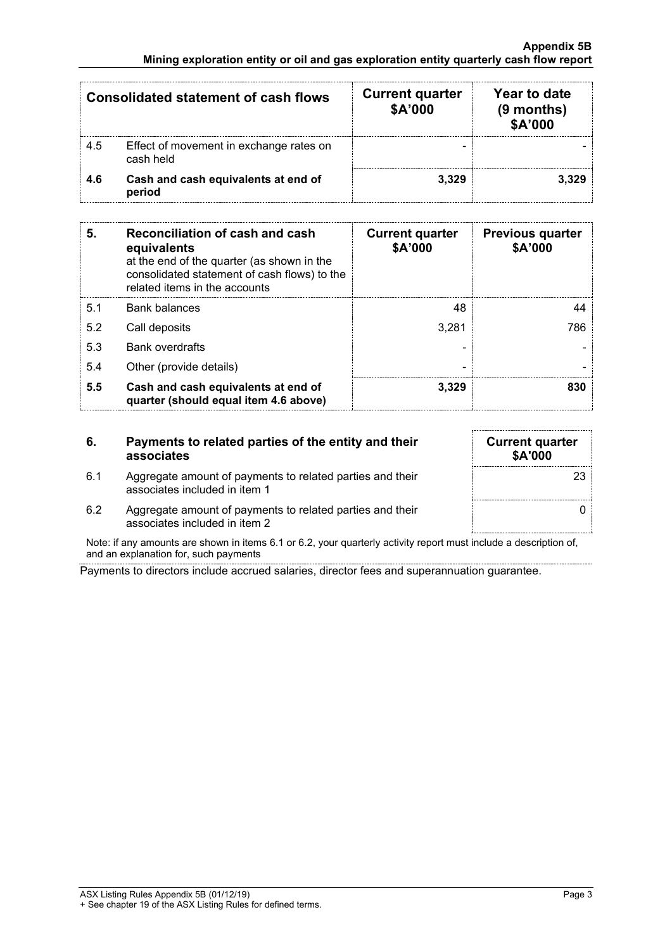| <b>Consolidated statement of cash flows</b> |                                                      | <b>Current quarter</b><br>\$A'000 | Year to date<br>$(9$ months)<br><b>\$A'000</b> |
|---------------------------------------------|------------------------------------------------------|-----------------------------------|------------------------------------------------|
| 4.5                                         | Effect of movement in exchange rates on<br>cash held |                                   |                                                |
| 4.6                                         | Cash and cash equivalents at end of<br>period        | 3.329                             |                                                |

| 5.  | Reconciliation of cash and cash<br>equivalents<br>at the end of the quarter (as shown in the<br>consolidated statement of cash flows) to the<br>related items in the accounts | <b>Current quarter</b><br>\$A'000 | <b>Previous quarter</b><br>\$A'000 |
|-----|-------------------------------------------------------------------------------------------------------------------------------------------------------------------------------|-----------------------------------|------------------------------------|
| 5.1 | <b>Bank balances</b>                                                                                                                                                          | 48                                |                                    |
| 5.2 | Call deposits                                                                                                                                                                 | 3,281                             | 786                                |
| 5.3 | <b>Bank overdrafts</b>                                                                                                                                                        |                                   |                                    |
| 5.4 | Other (provide details)                                                                                                                                                       |                                   |                                    |
| 5.5 | Cash and cash equivalents at end of<br>quarter (should equal item 4.6 above)                                                                                                  | 3,329                             |                                    |

#### **6. Payments to related parties of the entity and their associates**

6.1 Aggregate amount of payments to related parties and their associates included in item 1

| <b>Current quarter</b><br>\$A'000 |  |
|-----------------------------------|--|
| 23                                |  |
|                                   |  |

6.2 Aggregate amount of payments to related parties and their associates included in item 2

Note: if any amounts are shown in items 6.1 or 6.2, your quarterly activity report must include a description of, and an explanation for, such payments

Payments to directors include accrued salaries, director fees and superannuation guarantee.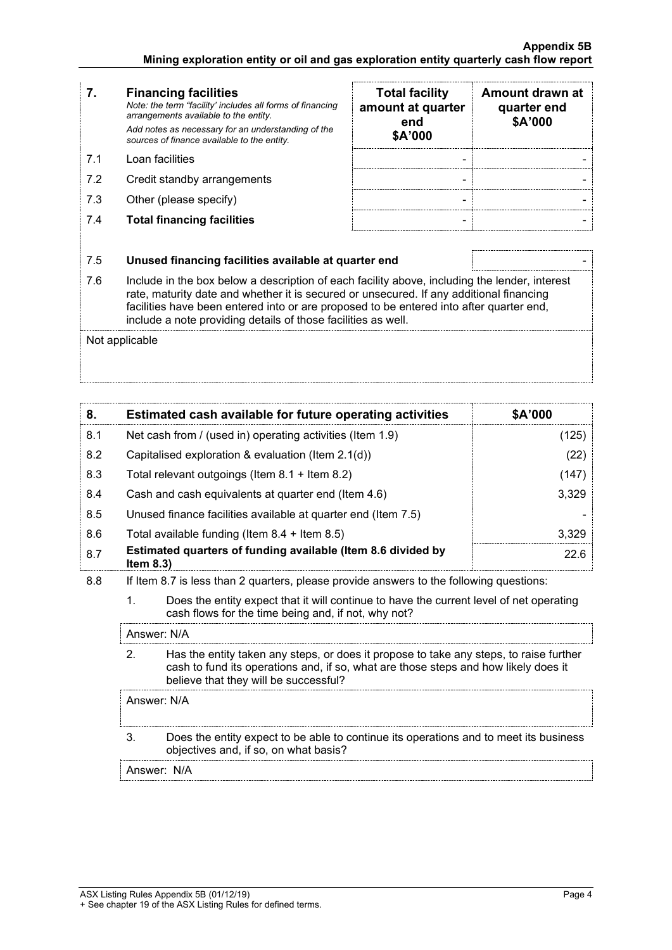- **7. Financing facilities** *Note: the term "facility' includes all forms of financing arrangements available to the entity. Add notes as necessary for an understanding of the sources of finance available to the entity.*
- 7.2 Credit standby arrangements
- 7.3 Other (please specify)
- 7.4 **Total financing facilities** -

|     | <b>Financing facilities</b><br>Note: the term "facility' includes all forms of financing<br>arrangements available to the entity.<br>Add notes as necessary for an understanding of the<br>sources of finance available to the entity. | <b>Total facility</b><br>amount at quarter<br>end<br>\$A'000 | Amount drawn at<br>quarter end<br>\$A'000 |
|-----|----------------------------------------------------------------------------------------------------------------------------------------------------------------------------------------------------------------------------------------|--------------------------------------------------------------|-------------------------------------------|
| 71  | Loan facilities                                                                                                                                                                                                                        |                                                              |                                           |
| 7.2 | Credit standby arrangements                                                                                                                                                                                                            |                                                              |                                           |
| 7.3 | Other (please specify)                                                                                                                                                                                                                 |                                                              |                                           |
| 7.4 | <b>Total financing facilities</b>                                                                                                                                                                                                      |                                                              |                                           |

#### 7.5 **Unused financing facilities available at quarter end** -

7.6 Include in the box below a description of each facility above, including the lender, interest rate, maturity date and whether it is secured or unsecured. If any additional financing facilities have been entered into or are proposed to be entered into after quarter end, include a note providing details of those facilities as well.

Not applicable

| 8.  | Estimated cash available for future operating activities                     | \$A'000 |
|-----|------------------------------------------------------------------------------|---------|
| 8.1 | Net cash from / (used in) operating activities (Item 1.9)                    | (125)   |
| 8.2 | Capitalised exploration & evaluation (Item 2.1(d))                           | (22)    |
| 8.3 | Total relevant outgoings (Item $8.1 +$ Item $8.2$ )                          | (147)   |
| 8.4 | Cash and cash equivalents at quarter end (Item 4.6)                          | 3.329   |
| 8.5 | Unused finance facilities available at quarter end (Item 7.5)                |         |
| 8.6 | Total available funding (Item $8.4 +$ Item $8.5$ )                           | 3.329   |
| 87  | Estimated quarters of funding available (Item 8.6 divided by<br>Item $8.3$ ) | 22 R    |

- 8.8 If Item 8.7 is less than 2 quarters, please provide answers to the following questions:
	- 1. Does the entity expect that it will continue to have the current level of net operating cash flows for the time being and, if not, why not?

Answer: N/A

2. Has the entity taken any steps, or does it propose to take any steps, to raise further cash to fund its operations and, if so, what are those steps and how likely does it believe that they will be successful?

Answer: N/A

3. Does the entity expect to be able to continue its operations and to meet its business objectives and, if so, on what basis?

Answer: N/A